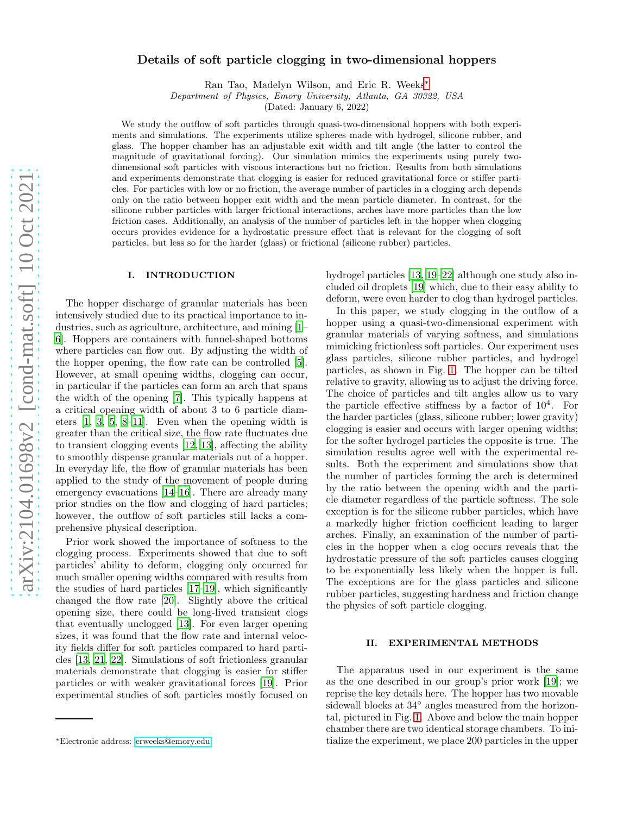# Details of soft particle clogging in two-dimensional hoppers

Ran Tao, Madelyn Wilson, and Eric R. Weeks[∗](#page-0-0)

*Department of Physics, Emory University, Atlanta, GA 30322, USA*

(Dated: January 6, 2022)

We study the outflow of soft particles through quasi-two-dimensional hoppers with both experiments and simulations. The experiments utilize spheres made with hydrogel, silicone rubber, and glass. The hopper chamber has an adjustable exit width and tilt angle (the latter to control the magnitude of gravitational forcing). Our simulation mimics the experiments using purely twodimensional soft particles with viscous interactions but no friction. Results from both simulations and experiments demonstrate that clogging is easier for reduced gravitational force or stiffer particles. For particles with low or no friction, the average number of particles in a clogging arch depends only on the ratio between hopper exit width and the mean particle diameter. In contrast, for the silicone rubber particles with larger frictional interactions, arches have more particles than the low friction cases. Additionally, an analysis of the number of particles left in the hopper when clogging occurs provides evidence for a hydrostatic pressure effect that is relevant for the clogging of soft particles, but less so for the harder (glass) or frictional (silicone rubber) particles.

## I. INTRODUCTION

The hopper discharge of granular materials has been intensively studied due to its practical importance to industries, such as agriculture, architecture, and mining [\[1](#page-9-0)– [6](#page-9-1)]. Hoppers are containers with funnel-shaped bottoms where particles can flow out. By adjusting the width of the hopper opening, the flow rate can be controlled [\[5\]](#page-9-2). However, at small opening widths, clogging can occur, in particular if the particles can form an arch that spans the width of the opening [\[7](#page-9-3)]. This typically happens at a critical opening width of about 3 to 6 particle diameters [\[1,](#page-9-0) [3](#page-9-4), [5](#page-9-2), [8](#page-9-5)[–11\]](#page-9-6). Even when the opening width is greater than the critical size, the flow rate fluctuates due to transient clogging events [\[12,](#page-9-7) [13\]](#page-9-8), affecting the ability to smoothly dispense granular materials out of a hopper. In everyday life, the flow of granular materials has been applied to the study of the movement of people during emergency evacuations [\[14](#page-9-9)[–16](#page-9-10)]. There are already many prior studies on the flow and clogging of hard particles; however, the outflow of soft particles still lacks a comprehensive physical description.

Prior work showed the importance of softness to the clogging process. Experiments showed that due to soft particles' ability to deform, clogging only occurred for much smaller opening widths compared with results from the studies of hard particles [\[17](#page-9-11)[–19\]](#page-10-0), which significantly changed the flow rate [\[20](#page-10-1)]. Slightly above the critical opening size, there could be long-lived transient clogs that eventually unclogged [\[13\]](#page-9-8). For even larger opening sizes, it was found that the flow rate and internal velocity fields differ for soft particles compared to hard particles [\[13,](#page-9-8) [21,](#page-10-2) [22\]](#page-10-3). Simulations of soft frictionless granular materials demonstrate that clogging is easier for stiffer particles or with weaker gravitational forces [\[19\]](#page-10-0). Prior experimental studies of soft particles mostly focused on hydrogel particles [\[13](#page-9-8), [19](#page-10-0)[–22\]](#page-10-3) although one study also included oil droplets [\[19\]](#page-10-0) which, due to their easy ability to deform, were even harder to clog than hydrogel particles.

In this paper, we study clogging in the outflow of a hopper using a quasi-two-dimensional experiment with granular materials of varying softness, and simulations mimicking frictionless soft particles. Our experiment uses glass particles, silicone rubber particles, and hydrogel particles, as shown in Fig. [1.](#page-1-0) The hopper can be tilted relative to gravity, allowing us to adjust the driving force. The choice of particles and tilt angles allow us to vary the particle effective stiffness by a factor of  $10^4$ . For the harder particles (glass, silicone rubber; lower gravity) clogging is easier and occurs with larger opening widths; for the softer hydrogel particles the opposite is true. The simulation results agree well with the experimental results. Both the experiment and simulations show that the number of particles forming the arch is determined by the ratio between the opening width and the particle diameter regardless of the particle softness. The sole exception is for the silicone rubber particles, which have a markedly higher friction coefficient leading to larger arches. Finally, an examination of the number of particles in the hopper when a clog occurs reveals that the hydrostatic pressure of the soft particles causes clogging to be exponentially less likely when the hopper is full. The exceptions are for the glass particles and silicone rubber particles, suggesting hardness and friction change the physics of soft particle clogging.

## II. EXPERIMENTAL METHODS

The apparatus used in our experiment is the same as the one described in our group's prior work [\[19\]](#page-10-0); we reprise the key details here. The hopper has two movable sidewall blocks at  $34°$  angles measured from the horizontal, pictured in Fig. [1.](#page-1-0) Above and below the main hopper chamber there are two identical storage chambers. To initialize the experiment, we place 200 particles in the upper

<span id="page-0-0"></span><sup>∗</sup>Electronic address: [erweeks@emory.edu](mailto:erweeks@emory.edu)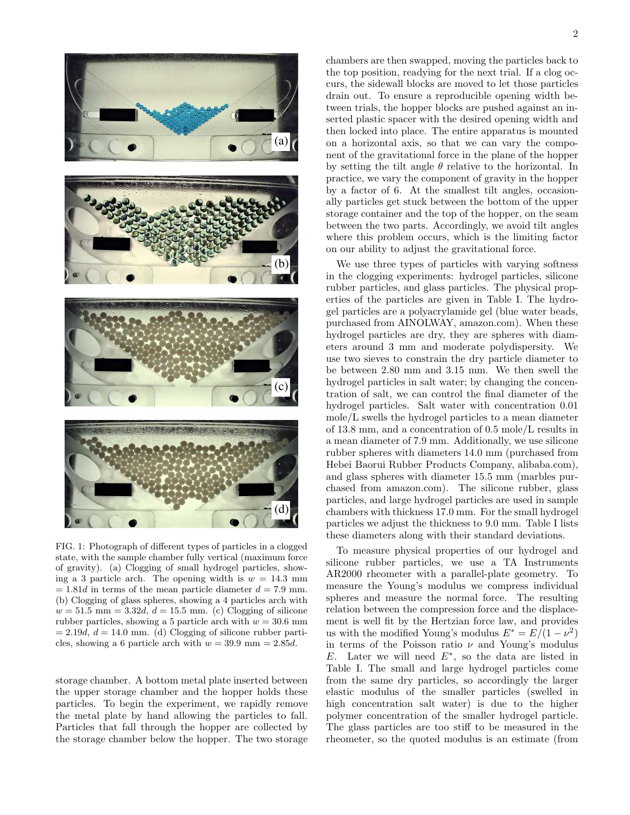

<span id="page-1-0"></span>FIG. 1: Photograph of different types of particles in a clogged state, with the sample chamber fully vertical (maximum force of gravity). (a) Clogging of small hydrogel particles, showing a 3 particle arch. The opening width is  $w = 14.3$  mm  $= 1.81d$  in terms of the mean particle diameter  $d = 7.9$  mm. (b) Clogging of glass spheres, showing a 4 particles arch with  $w = 51.5$  mm = 3.32d,  $d = 15.5$  mm. (c) Clogging of silicone rubber particles, showing a 5 particle arch with  $w = 30.6$  mm  $= 2.19d, d = 14.0$  mm. (d) Clogging of silicone rubber particles, showing a 6 particle arch with  $w = 39.9$  mm = 2.85d.

storage chamber. A bottom metal plate inserted between the upper storage chamber and the hopper holds these particles. To begin the experiment, we rapidly remove the metal plate by hand allowing the particles to fall. Particles that fall through the hopper are collected by the storage chamber below the hopper. The two storage chambers are then swapped, moving the particles back to the top position, readying for the next trial. If a clog occurs, the sidewall blocks are moved to let those particles drain out. To ensure a reproducible opening width between trials, the hopper blocks are pushed against an inserted plastic spacer with the desired opening width and then locked into place. The entire apparatus is mounted on a horizontal axis, so that we can vary the component of the gravitational force in the plane of the hopper by setting the tilt angle  $\theta$  relative to the horizontal. In practice, we vary the component of gravity in the hopper by a factor of 6. At the smallest tilt angles, occasionally particles get stuck between the bottom of the upper storage container and the top of the hopper, on the seam between the two parts. Accordingly, we avoid tilt angles where this problem occurs, which is the limiting factor on our ability to adjust the gravitational force.

We use three types of particles with varying softness in the clogging experiments: hydrogel particles, silicone rubber particles, and glass particles. The physical properties of the particles are given in Table I. The hydrogel particles are a polyacrylamide gel (blue water beads, purchased from AINOLWAY, amazon.com). When these hydrogel particles are dry, they are spheres with diameters around 3 mm and moderate polydispersity. We use two sieves to constrain the dry particle diameter to be between 2.80 mm and 3.15 mm. We then swell the hydrogel particles in salt water; by changing the concentration of salt, we can control the final diameter of the hydrogel particles. Salt water with concentration 0.01 mole/L swells the hydrogel particles to a mean diameter of 13.8 mm, and a concentration of 0.5 mole/L results in a mean diameter of 7.9 mm. Additionally, we use silicone rubber spheres with diameters 14.0 mm (purchased from Hebei Baorui Rubber Products Company, alibaba.com), and glass spheres with diameter 15.5 mm (marbles purchased from amazon.com). The silicone rubber, glass particles, and large hydrogel particles are used in sample chambers with thickness 17.0 mm. For the small hydrogel particles we adjust the thickness to 9.0 mm. Table I lists these diameters along with their standard deviations.

To measure physical properties of our hydrogel and silicone rubber particles, we use a TA Instruments AR2000 rheometer with a parallel-plate geometry. To measure the Young's modulus we compress individual spheres and measure the normal force. The resulting relation between the compression force and the displacement is well fit by the Hertzian force law, and provides us with the modified Young's modulus  $E^* = E/(1 - \nu^2)$ in terms of the Poisson ratio  $\nu$  and Young's modulus E. Later we will need  $E^*$ , so the data are listed in Table I. The small and large hydrogel particles come from the same dry particles, so accordingly the larger elastic modulus of the smaller particles (swelled in high concentration salt water) is due to the higher polymer concentration of the smaller hydrogel particle. The glass particles are too stiff to be measured in the rheometer, so the quoted modulus is an estimate (from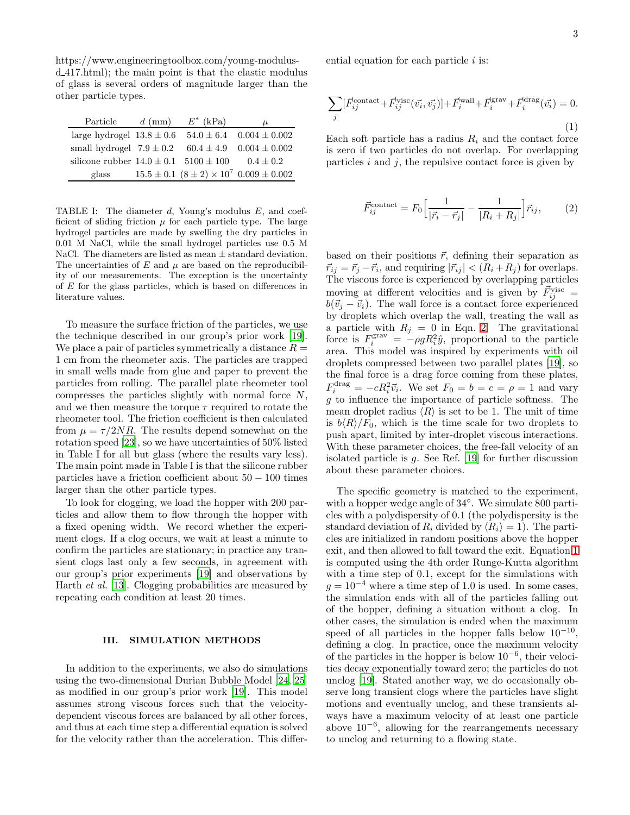https://www.engineeringtoolbox.com/young-modulusd 417.html); the main point is that the elastic modulus of glass is several orders of magnitude larger than the other particle types.

| Particle                                                       | $d$ (mm) | $E^*$ (kPa) | u                                                        |
|----------------------------------------------------------------|----------|-------------|----------------------------------------------------------|
| large hydrogel $13.8 \pm 0.6$ $54.0 \pm 6.4$ $0.004 \pm 0.002$ |          |             |                                                          |
| small hydrogel $7.9 \pm 0.2$                                   |          |             | $60.4 \pm 4.9$ $0.004 \pm 0.002$                         |
| silicone rubber $14.0 \pm 0.1$ 5100 $\pm 100$                  |          |             | $0.4 \pm 0.2$                                            |
| glass                                                          |          |             | $15.5 \pm 0.1$ $(8 \pm 2) \times 10^7$ $0.009 \pm 0.002$ |

TABLE I: The diameter d, Young's modulus E, and coefficient of sliding friction  $\mu$  for each particle type. The large hydrogel particles are made by swelling the dry particles in 0.01 M NaCl, while the small hydrogel particles use 0.5 M NaCl. The diameters are listed as mean  $\pm$  standard deviation. The uncertainties of  $E$  and  $\mu$  are based on the reproducibility of our measurements. The exception is the uncertainty of E for the glass particles, which is based on differences in literature values.

To measure the surface friction of the particles, we use the technique described in our group's prior work [\[19\]](#page-10-0). We place a pair of particles symmetrically a distance  $R =$ 1 cm from the rheometer axis. The particles are trapped in small wells made from glue and paper to prevent the particles from rolling. The parallel plate rheometer tool compresses the particles slightly with normal force N, and we then measure the torque  $\tau$  required to rotate the rheometer tool. The friction coefficient is then calculated from  $\mu = \tau/2NR$ . The results depend somewhat on the rotation speed [\[23\]](#page-10-4), so we have uncertainties of 50% listed in Table I for all but glass (where the results vary less). The main point made in Table I is that the silicone rubber particles have a friction coefficient about  $50 - 100$  times larger than the other particle types.

To look for clogging, we load the hopper with 200 particles and allow them to flow through the hopper with a fixed opening width. We record whether the experiment clogs. If a clog occurs, we wait at least a minute to confirm the particles are stationary; in practice any transient clogs last only a few seconds, in agreement with our group's prior experiments [\[19\]](#page-10-0) and observations by Harth et al. [\[13](#page-9-8)]. Clogging probabilities are measured by repeating each condition at least 20 times.

## III. SIMULATION METHODS

In addition to the experiments, we also do simulations using the two-dimensional Durian Bubble Model [\[24,](#page-10-5) [25](#page-10-6)] as modified in our group's prior work [\[19](#page-10-0)]. This model assumes strong viscous forces such that the velocitydependent viscous forces are balanced by all other forces, and thus at each time step a differential equation is solved for the velocity rather than the acceleration. This differential equation for each particle  $i$  is:

<span id="page-2-1"></span>
$$
\sum_{j} [\vec{F}_{ij}^{\text{contact}} + \vec{F}_{ij}^{\text{visc}}(\vec{v_i}, \vec{v_j})] + \vec{F}_i^{\text{wall}} + \vec{F}_i^{\text{grav}} + \vec{F}_i^{\text{drag}}(\vec{v_i}) = 0.
$$
\n(1)

Each soft particle has a radius  $R_i$  and the contact force is zero if two particles do not overlap. For overlapping particles  $i$  and  $j$ , the repulsive contact force is given by

<span id="page-2-0"></span>
$$
\vec{F}_{ij}^{\text{contact}} = F_0 \left[ \frac{1}{|\vec{r}_i - \vec{r}_j|} - \frac{1}{|R_i + R_j|} \right] \vec{r}_{ij},\qquad(2)
$$

based on their positions  $\vec{r}$ , defining their separation as  $\vec{r}_{ij} = \vec{r}_j - \vec{r}_i$ , and requiring  $|\vec{r}_{ij}| < (R_i + R_j)$  for overlaps. The viscous force is experienced by overlapping particles moving at different velocities and is given by  $\vec{F}_{ij}^{\text{visc}} =$  $b(\vec{v}_j - \vec{v}_i)$ . The wall force is a contact force experienced by droplets which overlap the wall, treating the wall as a particle with  $R_j = 0$  in Eqn. [2.](#page-2-0) The gravitational force is  $F_i^{\text{grav}} = -\rho g R_i^2 \hat{y}$ , proportional to the particle area. This model was inspired by experiments with oil droplets compressed between two parallel plates [\[19\]](#page-10-0), so the final force is a drag force coming from these plates,  $F_i^{\text{drag}} = -cR_i^2 \vec{v}_i$ . We set  $F_0 = b = c = \rho = 1$  and vary g to influence the importance of particle softness. The mean droplet radius  $\langle R \rangle$  is set to be 1. The unit of time is  $b\langle R\rangle/F_0$ , which is the time scale for two droplets to push apart, limited by inter-droplet viscous interactions. With these parameter choices, the free-fall velocity of an isolated particle is g. See Ref. [\[19\]](#page-10-0) for further discussion about these parameter choices.

The specific geometry is matched to the experiment, with a hopper wedge angle of 34°. We simulate 800 particles with a polydispersity of 0.1 (the polydispersity is the standard deviation of  $R_i$  divided by  $\langle R_i \rangle = 1$ ). The particles are initialized in random positions above the hopper exit, and then allowed to fall toward the exit. Equation [1](#page-2-1) is computed using the 4th order Runge-Kutta algorithm with a time step of 0.1, except for the simulations with  $g = 10^{-4}$  where a time step of 1.0 is used. In some cases, the simulation ends with all of the particles falling out of the hopper, defining a situation without a clog. In other cases, the simulation is ended when the maximum speed of all particles in the hopper falls below  $10^{-10}$ , defining a clog. In practice, once the maximum velocity of the particles in the hopper is below 10<sup>−</sup><sup>6</sup> , their velocities decay exponentially toward zero; the particles do not unclog [\[19\]](#page-10-0). Stated another way, we do occasionally observe long transient clogs where the particles have slight motions and eventually unclog, and these transients always have a maximum velocity of at least one particle above 10<sup>−</sup><sup>6</sup> , allowing for the rearrangements necessary to unclog and returning to a flowing state.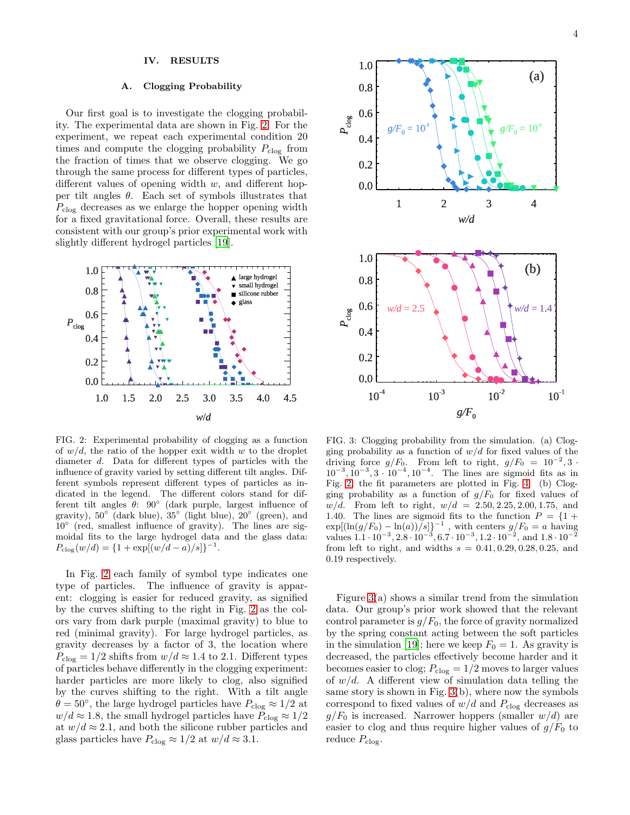## IV. RESULTS

#### A. Clogging Probability

Our first goal is to investigate the clogging probability. The experimental data are shown in Fig. [2.](#page-3-0) For the experiment, we repeat each experimental condition 20 times and compute the clogging probability  $P_{\text{clog}}$  from the fraction of times that we observe clogging. We go through the same process for different types of particles, different values of opening width  $w$ , and different hopper tilt angles  $\theta$ . Each set of symbols illustrates that  $P_{\text{clog}}$  decreases as we enlarge the hopper opening width for a fixed gravitational force. Overall, these results are consistent with our group's prior experimental work with slightly different hydrogel particles [\[19](#page-10-0)].



<span id="page-3-0"></span>FIG. 2: Experimental probability of clogging as a function of  $w/d$ , the ratio of the hopper exit width w to the droplet diameter d. Data for different types of particles with the influence of gravity varied by setting different tilt angles. Different symbols represent different types of particles as indicated in the legend. The different colors stand for different tilt angles  $\theta$ : 90° (dark purple, largest influence of gravity), 50◦ (dark blue), 35◦ (light blue), 20◦ (green), and 10° (red, smallest influence of gravity). The lines are sigmoidal fits to the large hydrogel data and the glass data:  $P_{\text{clog}}(w/d) = \{1 + \exp[(w/d - a)/s]\}^{-1}.$ 

In Fig. [2](#page-3-0) each family of symbol type indicates one type of particles. The influence of gravity is apparent: clogging is easier for reduced gravity, as signified by the curves shifting to the right in Fig. [2](#page-3-0) as the colors vary from dark purple (maximal gravity) to blue to red (minimal gravity). For large hydrogel particles, as gravity decreases by a factor of 3, the location where  $P_{\text{clog}} = 1/2$  shifts from  $w/d \approx 1.4$  to 2.1. Different types of particles behave differently in the clogging experiment: harder particles are more likely to clog, also signified by the curves shifting to the right. With a tilt angle  $\ddot{\theta} = 50^{\circ}$ , the large hydrogel particles have  $P_{\text{clog}} \approx 1/2$  at  $w/d \approx 1.8$ , the small hydrogel particles have  $P_{\text{clog}} \approx 1/2$ at  $w/d \approx 2.1$ , and both the silicone rubber particles and glass particles have  $P_{\text{clog}} \approx 1/2$  at  $w/d \approx 3.1$ .



<span id="page-3-1"></span>FIG. 3: Clogging probability from the simulation. (a) Clogging probability as a function of  $w/d$  for fixed values of the driving force  $g/F_0$ . From left to right,  $g/F_0 = 10^{-2}, 3 \cdot 10^{-3}, 10^{-3}, 3 \cdot 10^{-4}, 10^{-4}$ . The lines are sigmoid fits as in Fig. [2;](#page-3-0) the fit parameters are plotted in Fig. [4.](#page-4-0) (b) Clogging probability as a function of  $g/F_0$  for fixed values of  $w/d$ . From left to right,  $w/d = 2.50, 2.25, 2.00, 1.75, \text{ and}$ 1.40. The lines are sigmoid fits to the function  $P = \{1 +$  $\exp[(\ln(g/F_0) - \ln(a))/s]\}^{-1}$ , with centers  $g/F_0 = a$  having values 1.1 · 10<sup>-3</sup>, 2.8 · 10<sup>-3</sup>, 6.7 · 10<sup>-3</sup>, 1.2 · 10<sup>-2</sup>, and 1.8 · 10<sup>-2</sup> from left to right, and widths  $s = 0.41, 0.29, 0.28, 0.25,$  and 0.19 respectively.

Figure [3\(](#page-3-1)a) shows a similar trend from the simulation data. Our group's prior work showed that the relevant control parameter is  $g/F_0$ , the force of gravity normalized by the spring constant acting between the soft particles in the simulation [\[19\]](#page-10-0); here we keep  $F_0 = 1$ . As gravity is decreased, the particles effectively become harder and it becomes easier to clog;  $P_{\text{clog}} = 1/2$  moves to larger values of  $w/d$ . A different view of simulation data telling the same story is shown in Fig. [3\(](#page-3-1)b), where now the symbols correspond to fixed values of  $w/d$  and  $P_{\text{clog}}$  decreases as  $g/F_0$  is increased. Narrower hoppers (smaller  $w/d$ ) are easier to clog and thus require higher values of  $g/F_0$  to reduce  $P_{\text{clog}}$ .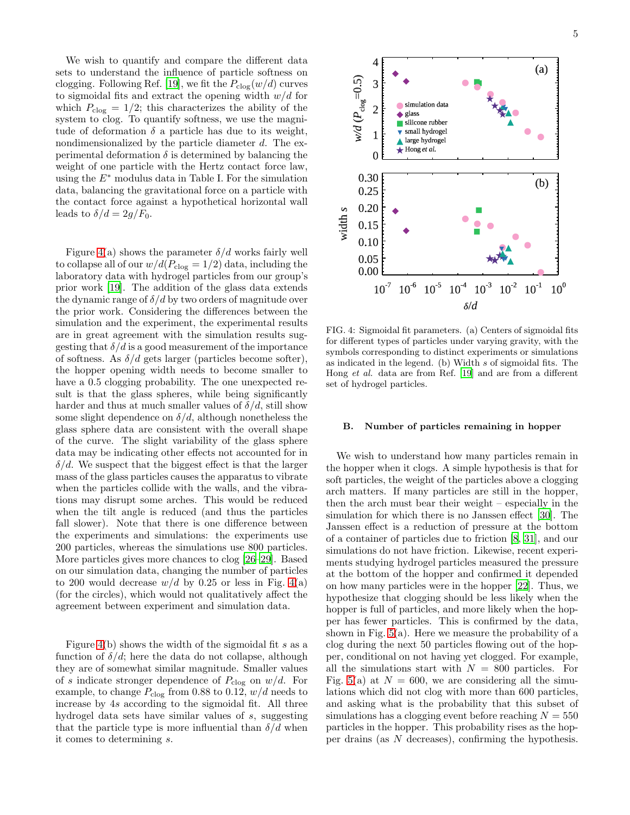We wish to quantify and compare the different data sets to understand the influence of particle softness on clogging. Following Ref. [\[19](#page-10-0)], we fit the  $P_{\text{clog}}(w/d)$  curves to sigmoidal fits and extract the opening width  $w/d$  for which  $P_{\text{clog}} = 1/2$ ; this characterizes the ability of the system to clog. To quantify softness, we use the magnitude of deformation  $\delta$  a particle has due to its weight, nondimensionalized by the particle diameter d. The experimental deformation  $\delta$  is determined by balancing the weight of one particle with the Hertz contact force law, using the  $E^*$  modulus data in Table I. For the simulation data, balancing the gravitational force on a particle with the contact force against a hypothetical horizontal wall leads to  $\delta/d = 2q/F_0$ .

Figure [4\(](#page-4-0)a) shows the parameter  $\delta/d$  works fairly well to collapse all of our  $w/d(P_{\text{clog}} = 1/2)$  data, including the laboratory data with hydrogel particles from our group's prior work [\[19\]](#page-10-0). The addition of the glass data extends the dynamic range of  $\delta/d$  by two orders of magnitude over the prior work. Considering the differences between the simulation and the experiment, the experimental results are in great agreement with the simulation results suggesting that  $\delta/d$  is a good measurement of the importance of softness. As  $\delta/d$  gets larger (particles become softer), the hopper opening width needs to become smaller to have a 0.5 clogging probability. The one unexpected result is that the glass spheres, while being significantly harder and thus at much smaller values of  $\delta/d$ , still show some slight dependence on  $\delta/d$ , although nonetheless the glass sphere data are consistent with the overall shape of the curve. The slight variability of the glass sphere data may be indicating other effects not accounted for in  $\delta/d$ . We suspect that the biggest effect is that the larger mass of the glass particles causes the apparatus to vibrate when the particles collide with the walls, and the vibrations may disrupt some arches. This would be reduced when the tilt angle is reduced (and thus the particles fall slower). Note that there is one difference between the experiments and simulations: the experiments use 200 particles, whereas the simulations use 800 particles. More particles gives more chances to clog [\[26](#page-10-7)[–29\]](#page-10-8). Based on our simulation data, changing the number of particles to 200 would decrease  $w/d$  by 0.25 or less in Fig. [4\(](#page-4-0)a) (for the circles), which would not qualitatively affect the agreement between experiment and simulation data.

Figure [4\(](#page-4-0)b) shows the width of the sigmoidal fit  $s$  as a function of  $\delta/d$ ; here the data do not collapse, although they are of somewhat similar magnitude. Smaller values of s indicate stronger dependence of  $P_{\text{clog}}$  on  $w/d$ . For example, to change  $P_{\text{clog}}$  from 0.88 to 0.12,  $w/d$  needs to increase by 4s according to the sigmoidal fit. All three hydrogel data sets have similar values of s, suggesting that the particle type is more influential than  $\delta/d$  when it comes to determining s.



<span id="page-4-0"></span>FIG. 4: Sigmoidal fit parameters. (a) Centers of sigmoidal fits for different types of particles under varying gravity, with the symbols corresponding to distinct experiments or simulations as indicated in the legend. (b) Width s of sigmoidal fits. The Hong *et al.* data are from Ref. [\[19](#page-10-0)] and are from a different set of hydrogel particles.

#### B. Number of particles remaining in hopper

We wish to understand how many particles remain in the hopper when it clogs. A simple hypothesis is that for soft particles, the weight of the particles above a clogging arch matters. If many particles are still in the hopper, then the arch must bear their weight – especially in the simulation for which there is no Janssen effect [\[30\]](#page-10-9). The Janssen effect is a reduction of pressure at the bottom of a container of particles due to friction [\[8,](#page-9-5) [31\]](#page-10-10), and our simulations do not have friction. Likewise, recent experiments studying hydrogel particles measured the pressure at the bottom of the hopper and confirmed it depended on how many particles were in the hopper [\[22](#page-10-3)]. Thus, we hypothesize that clogging should be less likely when the hopper is full of particles, and more likely when the hopper has fewer particles. This is confirmed by the data, shown in Fig. [5\(](#page-5-0)a). Here we measure the probability of a clog during the next 50 particles flowing out of the hopper, conditional on not having yet clogged. For example, all the simulations start with  $N = 800$  particles. For Fig. [5\(](#page-5-0)a) at  $N = 600$ , we are considering all the simulations which did not clog with more than 600 particles, and asking what is the probability that this subset of simulations has a clogging event before reaching  $N = 550$ particles in the hopper. This probability rises as the hopper drains (as N decreases), confirming the hypothesis.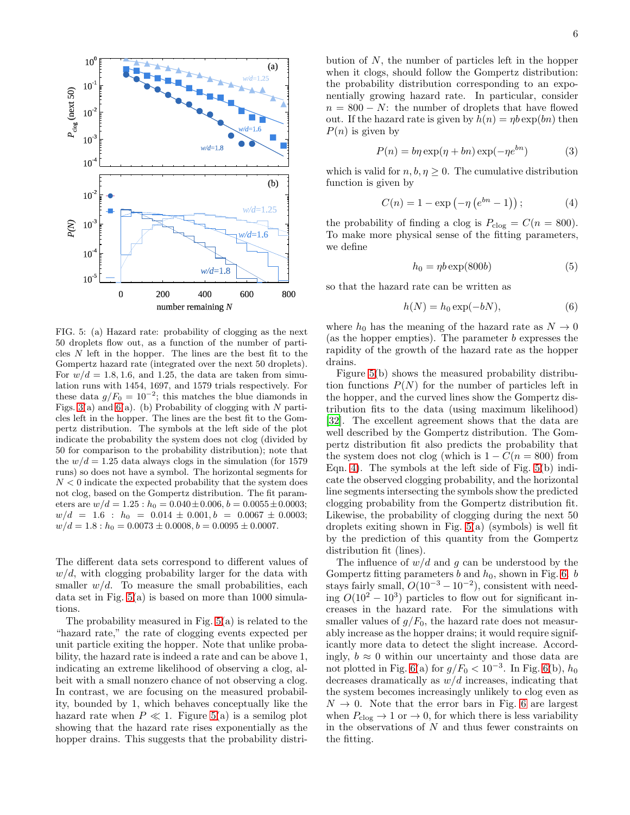

<span id="page-5-0"></span>FIG. 5: (a) Hazard rate: probability of clogging as the next 50 droplets flow out, as a function of the number of particles N left in the hopper. The lines are the best fit to the Gompertz hazard rate (integrated over the next 50 droplets). For  $w/d = 1.8, 1.6,$  and 1.25, the data are taken from simulation runs with 1454, 1697, and 1579 trials respectively. For these data  $g/F_0 = 10^{-2}$ ; this matches the blue diamonds in Figs. [3\(](#page-3-1)a) and [6\(](#page-6-0)a). (b) Probability of clogging with  $N$  particles left in the hopper. The lines are the best fit to the Gompertz distribution. The symbols at the left side of the plot indicate the probability the system does not clog (divided by 50 for comparison to the probability distribution); note that the  $w/d = 1.25$  data always clogs in the simulation (for 1579) runs) so does not have a symbol. The horizontal segments for  $N < 0$  indicate the expected probability that the system does not clog, based on the Gompertz distribution. The fit parameters are  $w/d = 1.25$ :  $h_0 = 0.040 \pm 0.006$ ,  $b = 0.0055 \pm 0.0003$ ;  $w/d = 1.6$  :  $h_0 = 0.014 \pm 0.001, b = 0.0067 \pm 0.0003;$  $w/d = 1.8 : h_0 = 0.0073 \pm 0.0008, b = 0.0095 \pm 0.0007.$ 

The different data sets correspond to different values of  $w/d$ , with clogging probability larger for the data with smaller  $w/d$ . To measure the small probabilities, each data set in Fig. [5\(](#page-5-0)a) is based on more than 1000 simulations.

The probability measured in Fig. [5\(](#page-5-0)a) is related to the "hazard rate," the rate of clogging events expected per unit particle exiting the hopper. Note that unlike probability, the hazard rate is indeed a rate and can be above 1, indicating an extreme likelihood of observing a clog, albeit with a small nonzero chance of not observing a clog. In contrast, we are focusing on the measured probability, bounded by 1, which behaves conceptually like the hazard rate when  $P \ll 1$ . Figure [5\(](#page-5-0)a) is a semilog plot showing that the hazard rate rises exponentially as the hopper drains. This suggests that the probability distri-

bution of  $N$ , the number of particles left in the hopper when it clogs, should follow the Gompertz distribution: the probability distribution corresponding to an exponentially growing hazard rate. In particular, consider  $n = 800 - N$ : the number of droplets that have flowed out. If the hazard rate is given by  $h(n) = \eta b \exp(bn)$  then  $P(n)$  is given by

$$
P(n) = b\eta \exp(\eta + bn) \exp(-\eta e^{bn})
$$
 (3)

which is valid for  $n, b, \eta \geq 0$ . The cumulative distribution function is given by

<span id="page-5-1"></span>
$$
C(n) = 1 - \exp(-\eta (e^{bn} - 1)); \tag{4}
$$

the probability of finding a clog is  $P_{\text{clog}} = C(n = 800)$ . To make more physical sense of the fitting parameters, we define

$$
h_0 = \eta b \exp(800b) \tag{5}
$$

so that the hazard rate can be written as

<span id="page-5-2"></span>
$$
h(N) = h_0 \exp(-bN), \tag{6}
$$

where  $h_0$  has the meaning of the hazard rate as  $N \to 0$ (as the hopper empties). The parameter b expresses the rapidity of the growth of the hazard rate as the hopper drains.

Figure [5\(](#page-5-0)b) shows the measured probability distribution functions  $P(N)$  for the number of particles left in the hopper, and the curved lines show the Gompertz distribution fits to the data (using maximum likelihood) [\[32\]](#page-10-11). The excellent agreement shows that the data are well described by the Gompertz distribution. The Gompertz distribution fit also predicts the probability that the system does not clog (which is  $1 - C(n = 800)$  from Eqn. [4\)](#page-5-1). The symbols at the left side of Fig. [5\(](#page-5-0)b) indicate the observed clogging probability, and the horizontal line segments intersecting the symbols show the predicted clogging probability from the Gompertz distribution fit. Likewise, the probability of clogging during the next 50 droplets exiting shown in Fig. [5\(](#page-5-0)a) (symbols) is well fit by the prediction of this quantity from the Gompertz distribution fit (lines).

The influence of  $w/d$  and g can be understood by the Gompertz fitting parameters b and  $h_0$ , shown in Fig. [6.](#page-6-0) b stays fairly small,  $O(10^{-3} - 10^{-2})$ , consistent with needing  $O(10^2 - 10^3)$  particles to flow out for significant increases in the hazard rate. For the simulations with smaller values of  $g/F_0$ , the hazard rate does not measurably increase as the hopper drains; it would require significantly more data to detect the slight increase. Accordingly,  $b \approx 0$  within our uncertainty and those data are not plotted in Fig. [6\(](#page-6-0)a) for  $g/F_0 < 10^{-3}$ . In Fig. 6(b),  $h_0$ decreases dramatically as  $w/d$  increases, indicating that the system becomes increasingly unlikely to clog even as  $N \to 0$ . Note that the error bars in Fig. [6](#page-6-0) are largest when  $P_{\text{clog}} \to 1$  or  $\to 0$ , for which there is less variability in the observations of N and thus fewer constraints on the fitting.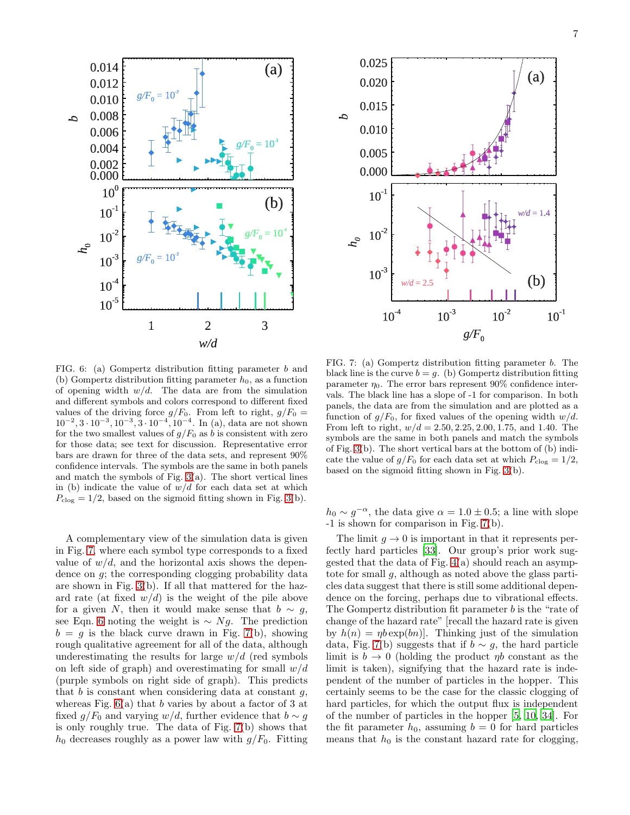



<span id="page-6-0"></span>FIG. 6: (a) Gompertz distribution fitting parameter b and (b) Gompertz distribution fitting parameter  $h_0$ , as a function of opening width  $w/d$ . The data are from the simulation and different symbols and colors correspond to different fixed values of the driving force  $g/F_0$ . From left to right,  $g/F_0 = 10^{-2}$ ,  $3 \cdot 10^{-3}$ ,  $10^{-3}$ ,  $3 \cdot 10^{-4}$ ,  $10^{-4}$ . In (a), data are not shown for the two smallest values of  $g/F_0$  as b is consistent with zero for those data; see text for discussion. Representative error bars are drawn for three of the data sets, and represent 90% confidence intervals. The symbols are the same in both panels and match the symbols of Fig. [3\(](#page-3-1)a). The short vertical lines in (b) indicate the value of  $w/d$  for each data set at which  $P_{\text{clog}} = 1/2$ , based on the sigmoid fitting shown in Fig. [3\(](#page-3-1)b).

A complementary view of the simulation data is given in Fig. [7,](#page-6-1) where each symbol type corresponds to a fixed value of  $w/d$ , and the horizontal axis shows the dependence on g; the corresponding clogging probability data are shown in Fig. [3\(](#page-3-1)b). If all that mattered for the hazard rate (at fixed  $w/d$ ) is the weight of the pile above for a given N, then it would make sense that  $b \sim g$ , see Eqn. [6](#page-5-2) noting the weight is  $\sim Ng$ . The prediction  $b = g$  is the black curve drawn in Fig. [7\(](#page-6-1)b), showing rough qualitative agreement for all of the data, although underestimating the results for large  $w/d$  (red symbols on left side of graph) and overestimating for small  $w/d$ (purple symbols on right side of graph). This predicts that b is constant when considering data at constant  $q$ , whereas Fig.  $6(a)$  that b varies by about a factor of 3 at fixed  $g/F_0$  and varying w/d, further evidence that  $b \sim g$ is only roughly true. The data of Fig. [7\(](#page-6-1)b) shows that  $h_0$  decreases roughly as a power law with  $g/F_0$ . Fitting

<span id="page-6-1"></span>FIG. 7: (a) Gompertz distribution fitting parameter b. The black line is the curve  $b = g$ . (b) Gompertz distribution fitting parameter  $\eta_0$ . The error bars represent 90% confidence intervals. The black line has a slope of -1 for comparison. In both panels, the data are from the simulation and are plotted as a function of  $g/F_0$ , for fixed values of the opening width  $w/d$ . From left to right,  $w/d = 2.50, 2.25, 2.00, 1.75,$  and 1.40. The symbols are the same in both panels and match the symbols of Fig. [3\(](#page-3-1)b). The short vertical bars at the bottom of (b) indicate the value of  $g/F_0$  for each data set at which  $P_{\text{clog}} = 1/2$ , based on the sigmoid fitting shown in Fig. [3\(](#page-3-1)b).

 $h_0 \sim g^{-\alpha}$ , the data give  $\alpha = 1.0 \pm 0.5$ ; a line with slope -1 is shown for comparison in Fig. [7\(](#page-6-1)b).

The limit  $q \to 0$  is important in that it represents perfectly hard particles [\[33](#page-10-12)]. Our group's prior work suggested that the data of Fig. [4\(](#page-4-0)a) should reach an asymptote for small g, although as noted above the glass particles data suggest that there is still some additional dependence on the forcing, perhaps due to vibrational effects. The Gompertz distribution fit parameter b is the "rate of change of the hazard rate" [recall the hazard rate is given by  $h(n) = \eta b \exp(bn)$ . Thinking just of the simulation data, Fig. [7\(](#page-6-1)b) suggests that if  $b \sim g$ , the hard particle limit is  $b \to 0$  (holding the product  $\eta b$  constant as the limit is taken), signifying that the hazard rate is independent of the number of particles in the hopper. This certainly seems to be the case for the classic clogging of hard particles, for which the output flux is independent of the number of particles in the hopper [\[5,](#page-9-2) [10,](#page-9-12) [34\]](#page-10-13). For the fit parameter  $h_0$ , assuming  $b = 0$  for hard particles means that  $h_0$  is the constant hazard rate for clogging,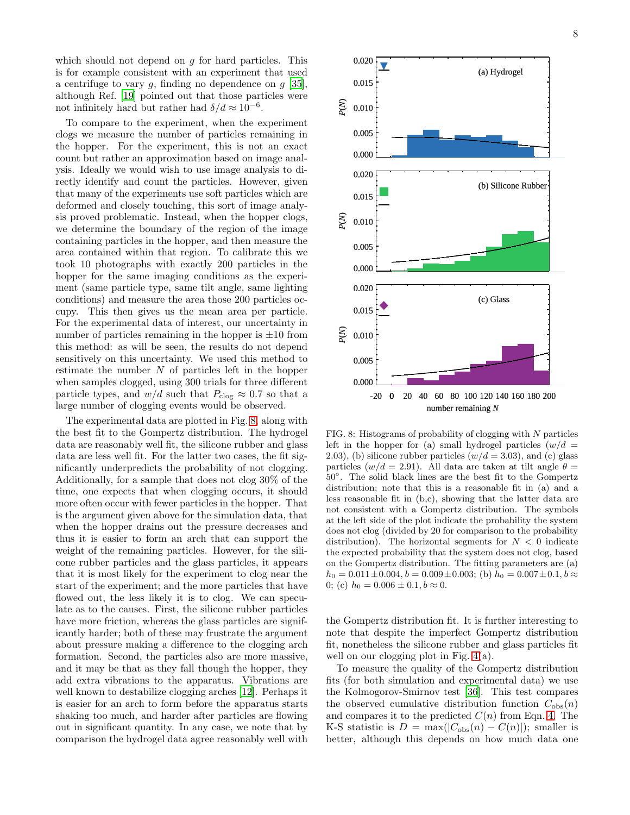which should not depend on  $g$  for hard particles. This is for example consistent with an experiment that used a centrifuge to vary  $q$ , finding no dependence on  $q$  [\[35\]](#page-10-14), although Ref. [\[19\]](#page-10-0) pointed out that those particles were not infinitely hard but rather had  $\delta/d \approx 10^{-6}$ .

To compare to the experiment, when the experiment clogs we measure the number of particles remaining in the hopper. For the experiment, this is not an exact count but rather an approximation based on image analysis. Ideally we would wish to use image analysis to directly identify and count the particles. However, given that many of the experiments use soft particles which are deformed and closely touching, this sort of image analysis proved problematic. Instead, when the hopper clogs, we determine the boundary of the region of the image containing particles in the hopper, and then measure the area contained within that region. To calibrate this we took 10 photographs with exactly 200 particles in the hopper for the same imaging conditions as the experiment (same particle type, same tilt angle, same lighting conditions) and measure the area those 200 particles occupy. This then gives us the mean area per particle. For the experimental data of interest, our uncertainty in number of particles remaining in the hopper is  $\pm 10$  from this method: as will be seen, the results do not depend sensitively on this uncertainty. We used this method to estimate the number  $N$  of particles left in the hopper when samples clogged, using 300 trials for three different particle types, and  $w/d$  such that  $P_{\text{clog}} \approx 0.7$  so that a large number of clogging events would be observed.

The experimental data are plotted in Fig. [8,](#page-7-0) along with the best fit to the Gompertz distribution. The hydrogel data are reasonably well fit, the silicone rubber and glass data are less well fit. For the latter two cases, the fit significantly underpredicts the probability of not clogging. Additionally, for a sample that does not clog 30% of the time, one expects that when clogging occurs, it should more often occur with fewer particles in the hopper. That is the argument given above for the simulation data, that when the hopper drains out the pressure decreases and thus it is easier to form an arch that can support the weight of the remaining particles. However, for the silicone rubber particles and the glass particles, it appears that it is most likely for the experiment to clog near the start of the experiment; and the more particles that have flowed out, the less likely it is to clog. We can speculate as to the causes. First, the silicone rubber particles have more friction, whereas the glass particles are significantly harder; both of these may frustrate the argument about pressure making a difference to the clogging arch formation. Second, the particles also are more massive, and it may be that as they fall though the hopper, they add extra vibrations to the apparatus. Vibrations are well known to destabilize clogging arches [\[12](#page-9-7)]. Perhaps it is easier for an arch to form before the apparatus starts shaking too much, and harder after particles are flowing out in significant quantity. In any case, we note that by comparison the hydrogel data agree reasonably well with



<span id="page-7-0"></span>FIG. 8: Histograms of probability of clogging with  $N$  particles left in the hopper for (a) small hydrogel particles  $(w/d =$ 2.03), (b) silicone rubber particles  $(w/d = 3.03)$ , and (c) glass particles  $(w/d = 2.91)$ . All data are taken at tilt angle  $\theta =$ 50°. The solid black lines are the best fit to the Gompertz distribution; note that this is a reasonable fit in (a) and a less reasonable fit in (b,c), showing that the latter data are not consistent with a Gompertz distribution. The symbols at the left side of the plot indicate the probability the system does not clog (divided by 20 for comparison to the probability distribution). The horizontal segments for  $N < 0$  indicate the expected probability that the system does not clog, based on the Gompertz distribution. The fitting parameters are (a)  $h_0 = 0.011 \pm 0.004, b = 0.009 \pm 0.003$ ; (b)  $h_0 = 0.007 \pm 0.1, b \approx$ 0; (c)  $h_0 = 0.006 \pm 0.1, b \approx 0.$ 

the Gompertz distribution fit. It is further interesting to note that despite the imperfect Gompertz distribution fit, nonetheless the silicone rubber and glass particles fit well on our clogging plot in Fig. [4\(](#page-4-0)a).

To measure the quality of the Gompertz distribution fits (for both simulation and experimental data) we use the Kolmogorov-Smirnov test [\[36\]](#page-10-15). This test compares the observed cumulative distribution function  $C_{obs}(n)$ and compares it to the predicted  $C(n)$  from Eqn. [4.](#page-5-1) The K-S statistic is  $D = \max(|C_{obs}(n) - C(n)|)$ ; smaller is better, although this depends on how much data one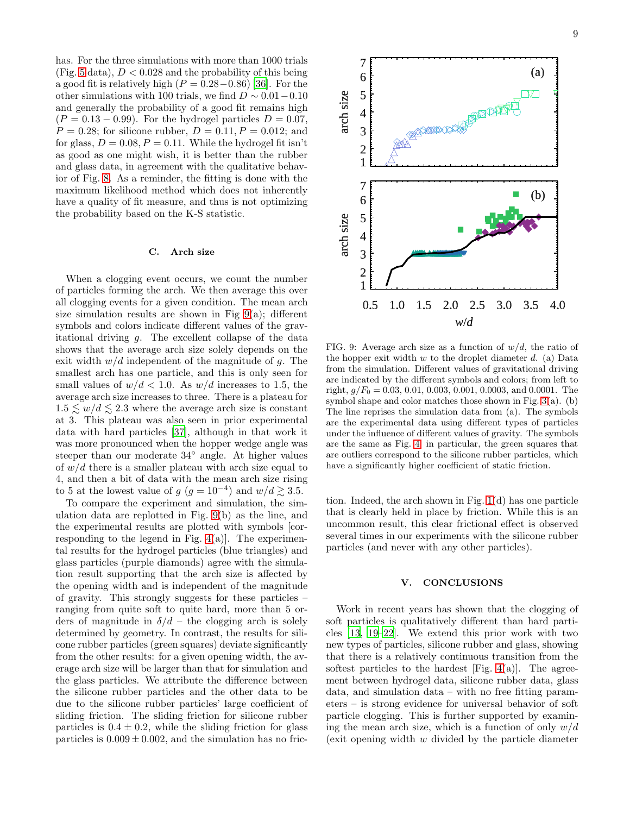has. For the three simulations with more than 1000 trials (Fig. [5](#page-5-0) data),  $D < 0.028$  and the probability of this being a good fit is relatively high  $(P = 0.28 - 0.86)$  [\[36\]](#page-10-15). For the other simulations with 100 trials, we find  $D \sim 0.01 - 0.10$ and generally the probability of a good fit remains high  $(P = 0.13 - 0.99)$ . For the hydrogel particles  $D = 0.07$ ,  $P = 0.28$ ; for silicone rubber,  $D = 0.11, P = 0.012$ ; and for glass,  $D = 0.08, P = 0.11$ . While the hydrogel fit isn't as good as one might wish, it is better than the rubber and glass data, in agreement with the qualitative behavior of Fig. [8.](#page-7-0) As a reminder, the fitting is done with the maximum likelihood method which does not inherently have a quality of fit measure, and thus is not optimizing the probability based on the K-S statistic.

#### C. Arch size

When a clogging event occurs, we count the number of particles forming the arch. We then average this over all clogging events for a given condition. The mean arch size simulation results are shown in Fig  $9(a)$ ; different symbols and colors indicate different values of the gravitational driving g. The excellent collapse of the data shows that the average arch size solely depends on the exit width  $w/d$  independent of the magnitude of g. The smallest arch has one particle, and this is only seen for small values of  $w/d < 1.0$ . As  $w/d$  increases to 1.5, the average arch size increases to three. There is a plateau for  $1.5 \leq w/d \leq 2.3$  where the average arch size is constant at 3. This plateau was also seen in prior experimental data with hard particles [\[37](#page-10-16)], although in that work it was more pronounced when the hopper wedge angle was steeper than our moderate 34◦ angle. At higher values of  $w/d$  there is a smaller plateau with arch size equal to 4, and then a bit of data with the mean arch size rising to 5 at the lowest value of  $g (g = 10^{-4})$  and  $w/d \gtrsim 3.5$ .

To compare the experiment and simulation, the simulation data are replotted in Fig. [9\(](#page-8-0)b) as the line, and the experimental results are plotted with symbols [corresponding to the legend in Fig.  $4(a)$ . The experimental results for the hydrogel particles (blue triangles) and glass particles (purple diamonds) agree with the simulation result supporting that the arch size is affected by the opening width and is independent of the magnitude of gravity. This strongly suggests for these particles – ranging from quite soft to quite hard, more than 5 orders of magnitude in  $\delta/d$  – the clogging arch is solely determined by geometry. In contrast, the results for silicone rubber particles (green squares) deviate significantly from the other results: for a given opening width, the average arch size will be larger than that for simulation and the glass particles. We attribute the difference between the silicone rubber particles and the other data to be due to the silicone rubber particles' large coefficient of sliding friction. The sliding friction for silicone rubber particles is  $0.4 \pm 0.2$ , while the sliding friction for glass particles is  $0.009 \pm 0.002$ , and the simulation has no fric-



<span id="page-8-0"></span>FIG. 9: Average arch size as a function of  $w/d$ , the ratio of the hopper exit width  $w$  to the droplet diameter  $d$ . (a) Data from the simulation. Different values of gravitational driving are indicated by the different symbols and colors; from left to right,  $g/F_0 = 0.03, 0.01, 0.003, 0.001, 0.0003,$  and 0.0001. The symbol shape and color matches those shown in Fig. [3\(](#page-3-1)a). (b) The line reprises the simulation data from (a). The symbols are the experimental data using different types of particles under the influence of different values of gravity. The symbols are the same as Fig. [4;](#page-4-0) in particular, the green squares that are outliers correspond to the silicone rubber particles, which have a significantly higher coefficient of static friction.

tion. Indeed, the arch shown in Fig. [1\(](#page-1-0)d) has one particle that is clearly held in place by friction. While this is an uncommon result, this clear frictional effect is observed several times in our experiments with the silicone rubber particles (and never with any other particles).

## V. CONCLUSIONS

Work in recent years has shown that the clogging of soft particles is qualitatively different than hard particles [\[13](#page-9-8), [19](#page-10-0)[–22\]](#page-10-3). We extend this prior work with two new types of particles, silicone rubber and glass, showing that there is a relatively continuous transition from the softest particles to the hardest [Fig.  $4(a)$ ]. The agreement between hydrogel data, silicone rubber data, glass data, and simulation data – with no free fitting parameters – is strong evidence for universal behavior of soft particle clogging. This is further supported by examining the mean arch size, which is a function of only  $w/d$ (exit opening width  $w$  divided by the particle diameter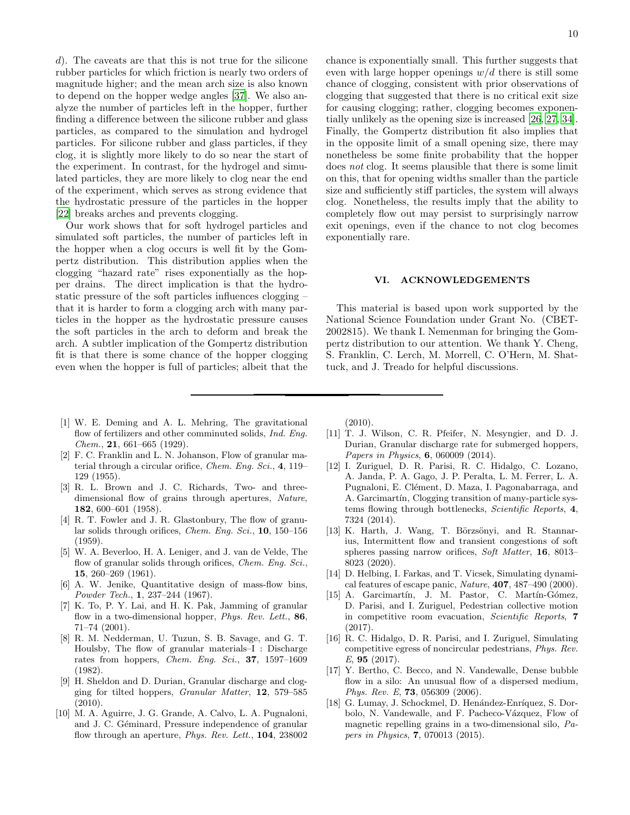d). The caveats are that this is not true for the silicone rubber particles for which friction is nearly two orders of magnitude higher; and the mean arch size is also known to depend on the hopper wedge angles [\[37\]](#page-10-16). We also analyze the number of particles left in the hopper, further finding a difference between the silicone rubber and glass particles, as compared to the simulation and hydrogel particles. For silicone rubber and glass particles, if they clog, it is slightly more likely to do so near the start of the experiment. In contrast, for the hydrogel and simulated particles, they are more likely to clog near the end of the experiment, which serves as strong evidence that the hydrostatic pressure of the particles in the hopper [\[22\]](#page-10-3) breaks arches and prevents clogging.

Our work shows that for soft hydrogel particles and simulated soft particles, the number of particles left in the hopper when a clog occurs is well fit by the Gompertz distribution. This distribution applies when the clogging "hazard rate" rises exponentially as the hopper drains. The direct implication is that the hydrostatic pressure of the soft particles influences clogging – that it is harder to form a clogging arch with many particles in the hopper as the hydrostatic pressure causes the soft particles in the arch to deform and break the arch. A subtler implication of the Gompertz distribution fit is that there is some chance of the hopper clogging even when the hopper is full of particles; albeit that the

- <span id="page-9-0"></span>[1] W. E. Deming and A. L. Mehring, The gravitational flow of fertilizers and other comminuted solids, *Ind. Eng. Chem.*, 21, 661–665 (1929).
- [2] F. C. Franklin and L. N. Johanson, Flow of granular material through a circular orifice, *Chem. Eng. Sci.*, 4, 119– 129 (1955).
- <span id="page-9-4"></span>[3] R. L. Brown and J. C. Richards, Two- and threedimensional flow of grains through apertures, *Nature*, 182, 600–601 (1958).
- [4] R. T. Fowler and J. R. Glastonbury, The flow of granular solids through orifices, *Chem. Eng. Sci.*, 10, 150–156 (1959).
- <span id="page-9-2"></span>[5] W. A. Beverloo, H. A. Leniger, and J. van de Velde, The flow of granular solids through orifices, *Chem. Eng. Sci.*, 15, 260–269 (1961).
- <span id="page-9-1"></span>[6] A. W. Jenike, Quantitative design of mass-flow bins, *Powder Tech.*, 1, 237–244 (1967).
- <span id="page-9-3"></span>[7] K. To, P. Y. Lai, and H. K. Pak, Jamming of granular flow in a two-dimensional hopper, *Phys. Rev. Lett.*, 86, 71–74 (2001).
- <span id="page-9-5"></span>[8] R. M. Nedderman, U. Tuzun, S. B. Savage, and G. T. Houlsby, The flow of granular materials–I : Discharge rates from hoppers, *Chem. Eng. Sci.*, 37, 1597–1609 (1982).
- [9] H. Sheldon and D. Durian, Granular discharge and clogging for tilted hoppers, *Granular Matter*, 12, 579–585 (2010).
- <span id="page-9-12"></span>[10] M. A. Aguirre, J. G. Grande, A. Calvo, L. A. Pugnaloni, and J. C. Géminard, Pressure independence of granular flow through an aperture, *Phys. Rev. Lett.*, 104, 238002

(2010).

- <span id="page-9-6"></span>[11] T. J. Wilson, C. R. Pfeifer, N. Mesyngier, and D. J. Durian, Granular discharge rate for submerged hoppers, *Papers in Physics*, 6, 060009 (2014).
- <span id="page-9-7"></span>[12] I. Zuriguel, D. R. Parisi, R. C. Hidalgo, C. Lozano, A. Janda, P. A. Gago, J. P. Peralta, L. M. Ferrer, L. A. Pugnaloni, E. Clément, D. Maza, I. Pagonabarraga, and A. Garcimartín, Clogging transition of many-particle systems flowing through bottlenecks, *Scientific Reports*, 4, 7324 (2014).
- <span id="page-9-8"></span>[13] K. Harth, J. Wang, T. Börzsönyi, and R. Stannarius, Intermittent flow and transient congestions of soft spheres passing narrow orifices, *Soft Matter*, 16, 8013– 8023 (2020).
- <span id="page-9-9"></span>[14] D. Helbing, I. Farkas, and T. Vicsek, Simulating dynamical features of escape panic, *Nature*, 407, 487–490 (2000).
- [15] A. Garcimartín, J. M. Pastor, C. Martín-Gómez, D. Parisi, and I. Zuriguel, Pedestrian collective motion in competitive room evacuation, *Scientific Reports*, 7 (2017).
- <span id="page-9-10"></span>[16] R. C. Hidalgo, D. R. Parisi, and I. Zuriguel, Simulating competitive egress of noncircular pedestrians, *Phys. Rev. E*, 95 (2017).
- <span id="page-9-11"></span>[17] Y. Bertho, C. Becco, and N. Vandewalle, Dense bubble flow in a silo: An unusual flow of a dispersed medium, *Phys. Rev. E*, 73, 056309 (2006).
- [18] G. Lumay, J. Schockmel, D. Henández-Enríquez, S. Dorbolo, N. Vandewalle, and F. Pacheco-Vázquez, Flow of magnetic repelling grains in a two-dimensional silo, *Papers in Physics*, 7, 070013 (2015).

chance is exponentially small. This further suggests that even with large hopper openings  $w/d$  there is still some chance of clogging, consistent with prior observations of clogging that suggested that there is no critical exit size for causing clogging; rather, clogging becomes exponentially unlikely as the opening size is increased [\[26,](#page-10-7) [27](#page-10-17), [34\]](#page-10-13). Finally, the Gompertz distribution fit also implies that in the opposite limit of a small opening size, there may nonetheless be some finite probability that the hopper does not clog. It seems plausible that there is some limit on this, that for opening widths smaller than the particle size and sufficiently stiff particles, the system will always clog. Nonetheless, the results imply that the ability to completely flow out may persist to surprisingly narrow exit openings, even if the chance to not clog becomes exponentially rare.

## VI. ACKNOWLEDGEMENTS

This material is based upon work supported by the National Science Foundation under Grant No. (CBET-2002815). We thank I. Nemenman for bringing the Gompertz distribution to our attention. We thank Y. Cheng, S. Franklin, C. Lerch, M. Morrell, C. O'Hern, M. Shattuck, and J. Treado for helpful discussions.